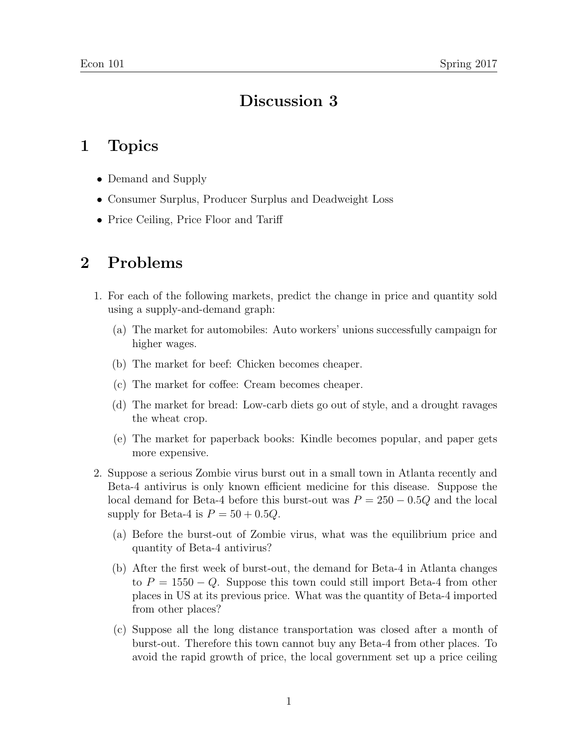## Discussion 3

## 1 Topics

- Demand and Supply
- Consumer Surplus, Producer Surplus and Deadweight Loss
- Price Ceiling, Price Floor and Tariff

## 2 Problems

- 1. For each of the following markets, predict the change in price and quantity sold using a supply-and-demand graph:
	- (a) The market for automobiles: Auto workers' unions successfully campaign for higher wages.
	- (b) The market for beef: Chicken becomes cheaper.
	- (c) The market for coffee: Cream becomes cheaper.
	- (d) The market for bread: Low-carb diets go out of style, and a drought ravages the wheat crop.
	- (e) The market for paperback books: Kindle becomes popular, and paper gets more expensive.
- 2. Suppose a serious Zombie virus burst out in a small town in Atlanta recently and Beta-4 antivirus is only known efficient medicine for this disease. Suppose the local demand for Beta-4 before this burst-out was  $P = 250 - 0.5Q$  and the local supply for Beta-4 is  $P = 50 + 0.5Q$ .
	- (a) Before the burst-out of Zombie virus, what was the equilibrium price and quantity of Beta-4 antivirus?
	- (b) After the first week of burst-out, the demand for Beta-4 in Atlanta changes to  $P = 1550 - Q$ . Suppose this town could still import Beta-4 from other places in US at its previous price. What was the quantity of Beta-4 imported from other places?
	- (c) Suppose all the long distance transportation was closed after a month of burst-out. Therefore this town cannot buy any Beta-4 from other places. To avoid the rapid growth of price, the local government set up a price ceiling